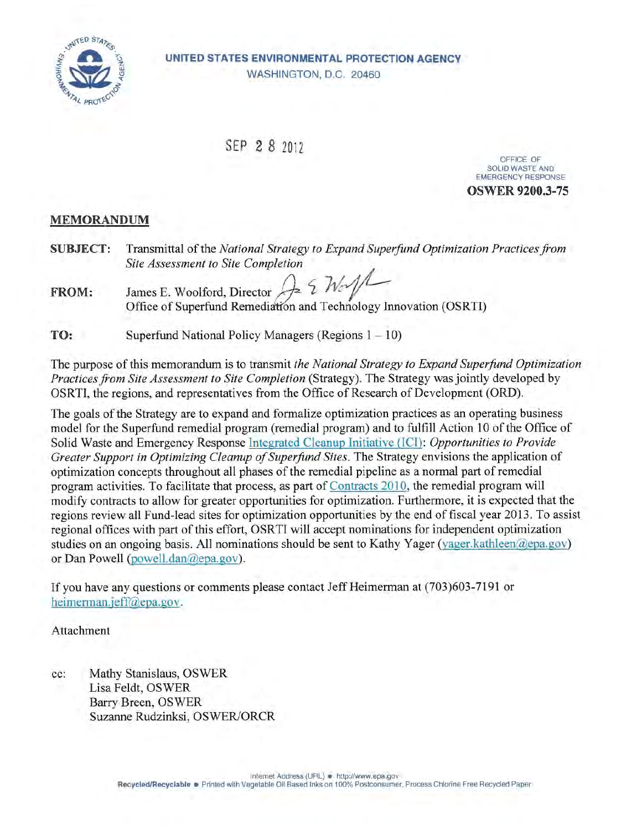

UNITED STATES ENVIRONMENTAL PROTECTION AGENCY WASHINGTON, D.C. 20460

SEP 2 8 2012

OFFICE OF SOLID WASTE AND **EMERGENCY RESPONSE OSWER 9200.3-75** 

#### **MEMORANDUM**

- **SUBJECT:** Transmittal of the National Strategy to Expand Superfund Optimization Practices from **Site Assessment to Site Completion**
- $31/2$ James E. Woolford, Director FROM: Office of Superfund Remediation and Technology Innovation (OSRTI)

TO: Superfund National Policy Managers (Regions  $1 - 10$ )

The purpose of this memorandum is to transmit the National Strategy to Expand Superfund Optimization *Practices from Site Assessment to Site Completion (Strategy). The Strategy was jointly developed by* OSRTI, the regions, and representatives from the Office of Research of Development (ORD).

The goals of the Strategy are to expand and formalize optimization practices as an operating business model for the Superfund remedial program (remedial program) and to fulfill Action 10 of the Office of Solid Waste and Emergency Response Integrated Cleanup Initiative (ICI): Opportunities to Provide Greater Support in Optimizing Cleanup of Superfund Sites. The Strategy envisions the application of optimization concepts throughout all phases of the remedial pipeline as a normal part of remedial program activities. To facilitate that process, as part of Contracts 2010, the remedial program will modify contracts to allow for greater opportunities for optimization. Furthermore, it is expected that the regions review all Fund-lead sites for optimization opportunities by the end of fiscal year 2013. To assist regional offices with part of this effort, OSRTI will accept nominations for independent optimization studies on an ongoing basis. All nominations should be sent to Kathy Yager (yager.kathleen@epa.gov) or Dan Powell (powell.dan@epa.gov).

If you have any questions or comments please contact Jeff Heimerman at (703)603-7191 or heimerman.jeff@epa.gov.

Attachment

Mathy Stanislaus, OSWER cc: Lisa Feldt, OSWER Barry Breen, OSWER Suzanne Rudzinksi, OSWER/ORCR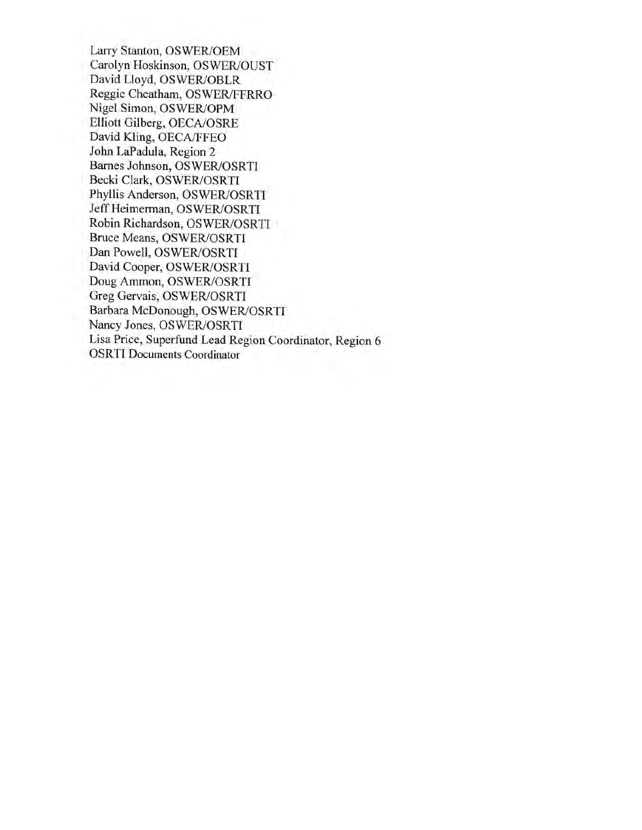Larry Stanton, OSWER/OEM Carolyn Hoskinson, OSWER/OUST David Lloyd, OSWER/OBLR Reggie Cheatham, OSWER/FFRRO Nigel Simon, OSWER/OPM Elliott Gilberg, OECA/OSRE David Kling, OECA/FFEO John LaPadula, Region 2 Barnes Johnson, OSWER/OSRTI Becki Clark, OSWER/OSRTI Phyllis Anderson, OSWER/OSRTI Jeff Heimerman, OSWER/OSRTI Robin Richardson, OSWER/OSRTI Bruce Means, OSWER/OSRTI Dan Powell, OSWER/OSRTI David Cooper, OSWER/OSRTI Doug Ammon, OSWER/OSRTI Greg Gervais, OSWER/OSRTI Barbara McDonough, OSWER/OSRTI Nancy Jones, OSWER/OSRTI Lisa Price, Superfund Lead Region Coordinator, Region 6 **OSRTI** Documents Coordinator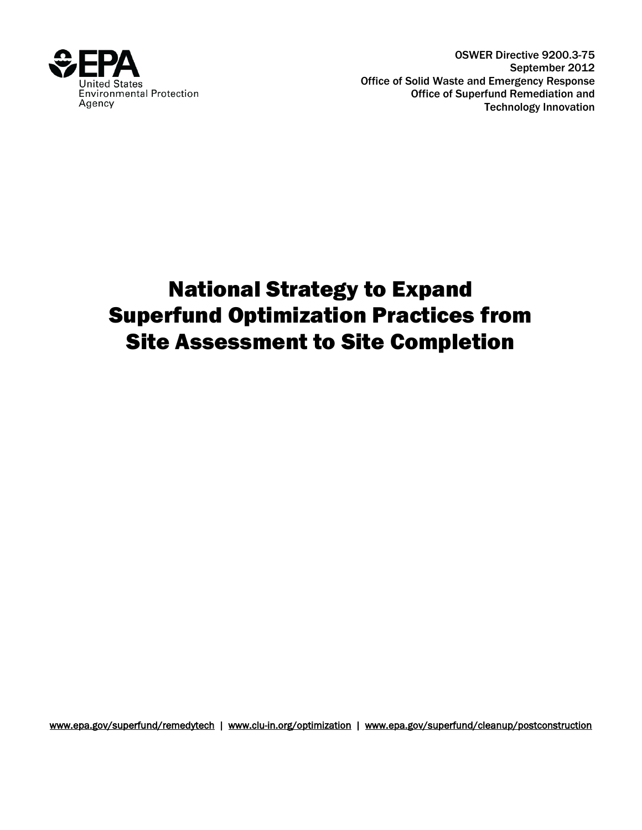

OSWER Directive 9200.3-75 September 2012 Office of Solid Waste and Emergency Response Office of Superfund Remediation and Technology Innovation

# National Strategy to Expand Superfund Optimization Practices from Site Assessment to Site Completion

<span id="page-2-0"></span>[www.epa.gov/superfund/remedytech](http://www.epa.gov/superfund/remedytech) | [www.clu-in.org/optimization](http://www.clu-in.org/optimization) | [www.epa.gov/superfund/cleanup/postconstruction](http://www.epa.gov/superfund/cleanup/postconstruction)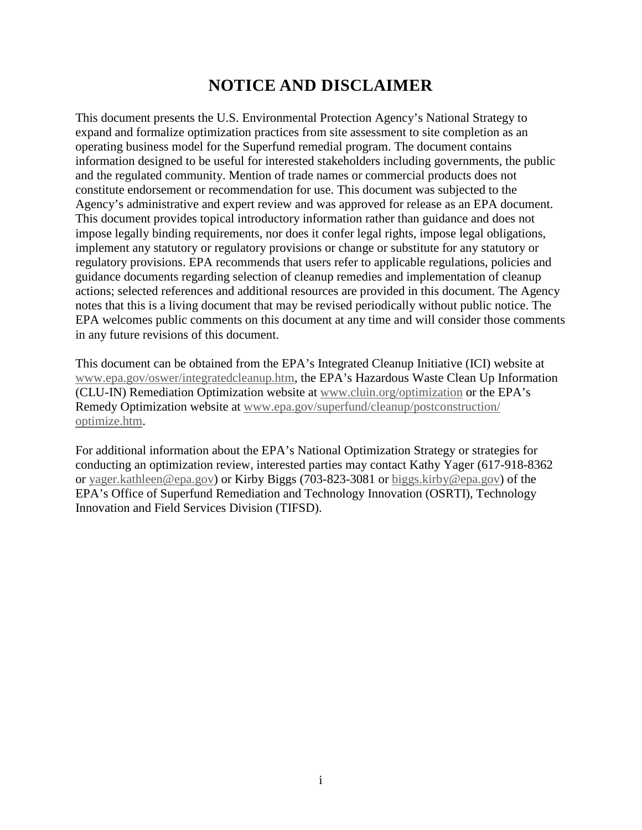# **NOTICE AND DISCLAIMER**

This document presents the U.S. Environmental Protection Agency's National Strategy to expand and formalize optimization practices from site assessment to site completion as an operating business model for the Superfund remedial program. The document contains information designed to be useful for interested stakeholders including governments, the public and the regulated community. Mention of trade names or commercial products does not constitute endorsement or recommendation for use. This document was subjected to the Agency's administrative and expert review and was approved for release as an EPA document. This document provides topical introductory information rather than guidance and does not impose legally binding requirements, nor does it confer legal rights, impose legal obligations, implement any statutory or regulatory provisions or change or substitute for any statutory or regulatory provisions. EPA recommends that users refer to applicable regulations, policies and guidance documents regarding selection of cleanup remedies and implementation of cleanup actions; selected references and additional resources are provided in this document. The Agency notes that this is a living document that may be revised periodically without public notice. The EPA welcomes public comments on this document at any time and will consider those comments in any future revisions of this document.

This document can be obtained from the EPA's Integrated Cleanup Initiative (ICI) website at [www.epa.gov/oswer/integratedcleanup.htm,](http://www.epa.gov/oswer/integratedcleanup.htm) the EPA's Hazardous Waste Clean Up Information (CLU-IN) Remediation Optimization website at [www.cluin.org/optimization](http://www.cluin.org/optimization) or the EPA's Remedy Optimization website at [www.epa.gov/superfund/cleanup/postconstruction/](http://www.epa.gov/superfund/cleanup/postconstruction/optimize.htm)  [optimize.htm.](http://www.epa.gov/superfund/cleanup/postconstruction/optimize.htm)

For additional information about the EPA's National Optimization Strategy or strategies for conducting an optimization review, interested parties may contact Kathy Yager (617-918-8362 or [yager.kathleen@epa.gov\)](mailto:yager.kathleen@epa.gov) or Kirby Biggs (703-823-3081 or [biggs.kirby@epa.gov\)](mailto:biggs.kirby@epa.gov) of the EPA's Office of Superfund Remediation and Technology Innovation (OSRTI), Technology Innovation and Field Services Division (TIFSD).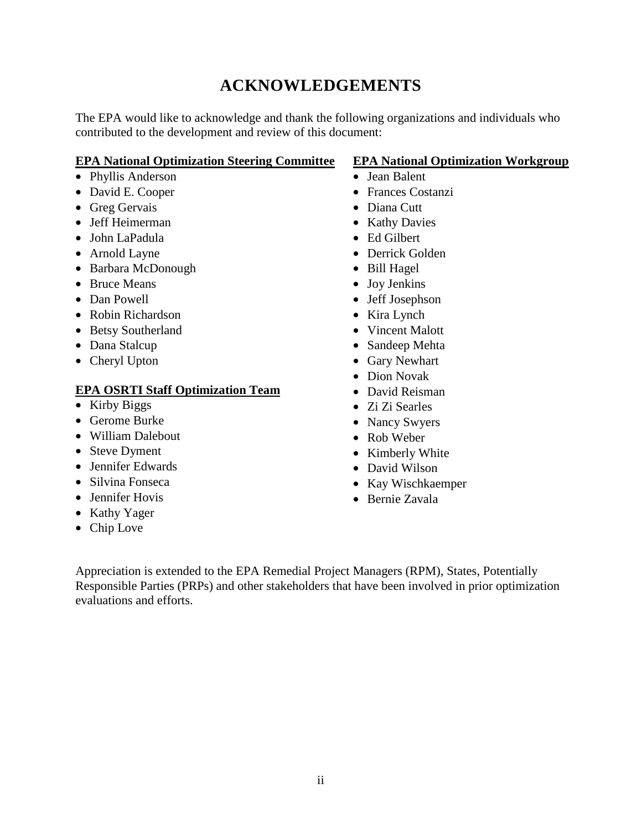# **ACKNOWLEDGEMENTS**

The EPA would like to acknowledge and thank the following organizations and individuals who contributed to the development and review of this document:

#### **EPA National Optimization Steering Committee**

- Phyllis Anderson
- David E. Cooper
- Greg Gervais
- Jeff Heimerman
- John LaPadula
- Arnold Layne
- Barbara McDonough
- Bruce Means
- Dan Powell
- Robin Richardson
- Betsy Southerland
- Dana Stalcup
- Cheryl Upton

#### **EPA OSRTI Staff Optimization Team**

- Kirby Biggs
- Gerome Burke
- William Dalebout
- Steve Dyment
- Jennifer Edwards
- Silvina Fonseca
- Jennifer Hovis
- Kathy Yager
- Chip Love

#### **EPA National Optimization Workgroup**

- Jean Balent
- Frances Costanzi
- Diana Cutt
- Kathy Davies
- Ed Gilbert
- Derrick Golden
- Bill Hagel
- Joy Jenkins
- Jeff Josephson
- Kira Lynch
- Vincent Malott
- Sandeep Mehta
- Gary Newhart
- Dion Novak
- David Reisman
- Zi Zi Searles
- Nancy Swyers
- Rob Weber
- Kimberly White
- David Wilson
- Kay Wischkaemper
- Bernie Zavala

Appreciation is extended to the EPA Remedial Project Managers (RPM), States, Potentially Responsible Parties (PRPs) and other stakeholders that have been involved in prior optimization evaluations and efforts.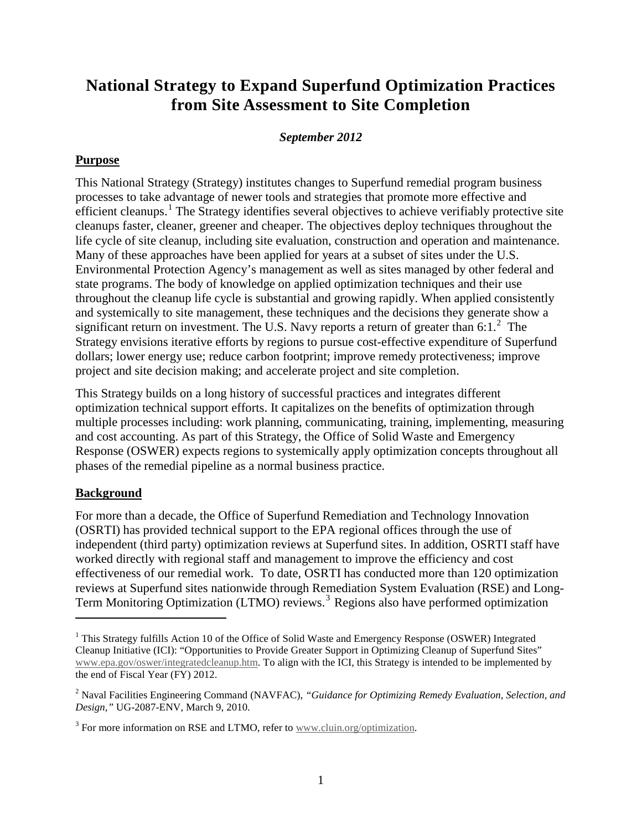# **National Strategy to Expand Superfund Optimization Practices from Site Assessment to Site Completion**

#### *September 2012*

#### **Purpose**

This National Strategy (Strategy) institutes changes to Superfund remedial program business processes to take advantage of newer tools and strategies that promote more effective and efficient cleanups.<sup>[1](#page-2-0)</sup> The Strategy identifies several objectives to achieve verifiably protective site cleanups faster, cleaner, greener and cheaper. The objectives deploy techniques throughout the life cycle of site cleanup, including site evaluation, construction and operation and maintenance. Many of these approaches have been applied for years at a subset of sites under the U.S. Environmental Protection Agency's management as well as sites managed by other federal and state programs. The body of knowledge on applied optimization techniques and their use throughout the cleanup life cycle is substantial and growing rapidly. When applied consistently and systemically to site management, these techniques and the decisions they generate show a significant return on investment. The U.S. Navy reports a return of greater than 6:1. $2$  The Strategy envisions iterative efforts by regions to pursue cost-effective expenditure of Superfund dollars; lower energy use; reduce carbon footprint; improve remedy protectiveness; improve project and site decision making; and accelerate project and site completion.

This Strategy builds on a long history of successful practices and integrates different optimization technical support efforts. It capitalizes on the benefits of optimization through multiple processes including: work planning, communicating, training, implementing, measuring and cost accounting. As part of this Strategy, the Office of Solid Waste and Emergency Response (OSWER) expects regions to systemically apply optimization concepts throughout all phases of the remedial pipeline as a normal business practice.

#### **Background**

 $\overline{a}$ 

For more than a decade, the Office of Superfund Remediation and Technology Innovation (OSRTI) has provided technical support to the EPA regional offices through the use of independent (third party) optimization reviews at Superfund sites. In addition, OSRTI staff have worked directly with regional staff and management to improve the efficiency and cost effectiveness of our remedial work. To date, OSRTI has conducted more than 120 optimization reviews at Superfund sites nationwide through Remediation System Evaluation (RSE) and Long-Term Monitoring Optimization (LTMO) reviews. [3](#page-5-1) Regions also have performed optimization

<sup>&</sup>lt;sup>1</sup> This Strategy fulfills Action 10 of the Office of Solid Waste and Emergency Response (OSWER) Integrated Cleanup Initiative (ICI): "Opportunities to Provide Greater Support in Optimizing Cleanup of Superfund Sites" [www.epa.gov/oswer/integratedcleanup.htm.](http://www.epa.gov/oswer/integratedcleanup.htm) To align with the ICI, this Strategy is intended to be implemented by the end of Fiscal Year (FY) 2012.

<span id="page-5-2"></span><span id="page-5-0"></span><sup>2</sup> Naval Facilities Engineering Command (NAVFAC), *"Guidance for Optimizing Remedy Evaluation, Selection, and Design,"* UG-2087-ENV, March 9, 2010.

<span id="page-5-1"></span><sup>&</sup>lt;sup>3</sup> For more information on RSE and LTMO, refer to [www.cluin.org/optimization.](http://www.cluin.org/optimization)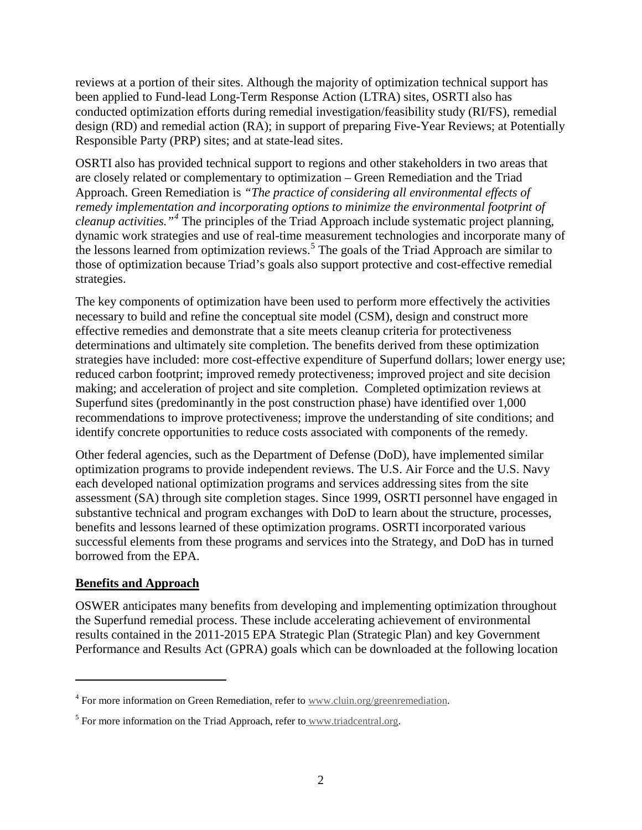reviews at a portion of their sites. Although the majority of optimization technical support has been applied to Fund-lead Long-Term Response Action (LTRA) sites, OSRTI also has conducted optimization efforts during remedial investigation/feasibility study (RI/FS), remedial design (RD) and remedial action (RA); in support of preparing Five-Year Reviews; at Potentially Responsible Party (PRP) sites; and at state-lead sites.

OSRTI also has provided technical support to regions and other stakeholders in two areas that are closely related or complementary to optimization – Green Remediation and the Triad Approach. Green Remediation is *"The practice of considering all environmental effects of remedy implementation and incorporating options to minimize the environmental footprint of cleanup activities."[4](#page-5-2)* The principles of the Triad Approach include systematic project planning, dynamic work strategies and use of real-time measurement technologies and incorporate many of the lessons learned from optimization reviews.[5](#page-6-0) The goals of the Triad Approach are similar to those of optimization because Triad's goals also support protective and cost-effective remedial strategies.

The key components of optimization have been used to perform more effectively the activities necessary to build and refine the conceptual site model (CSM), design and construct more effective remedies and demonstrate that a site meets cleanup criteria for protectiveness determinations and ultimately site completion. The benefits derived from these optimization strategies have included: more cost-effective expenditure of Superfund dollars; lower energy use; reduced carbon footprint; improved remedy protectiveness; improved project and site decision making; and acceleration of project and site completion. Completed optimization reviews at Superfund sites (predominantly in the post construction phase) have identified over 1,000 recommendations to improve protectiveness; improve the understanding of site conditions; and identify concrete opportunities to reduce costs associated with components of the remedy.

Other federal agencies, such as the Department of Defense (DoD), have implemented similar optimization programs to provide independent reviews. The U.S. Air Force and the U.S. Navy each developed national optimization programs and services addressing sites from the site assessment (SA) through site completion stages. Since 1999, OSRTI personnel have engaged in substantive technical and program exchanges with DoD to learn about the structure, processes, benefits and lessons learned of these optimization programs. OSRTI incorporated various successful elements from these programs and services into the Strategy, and DoD has in turned borrowed from the EPA.

#### **Benefits and Approach**

 $\overline{a}$ 

OSWER anticipates many benefits from developing and implementing optimization throughout the Superfund remedial process. These include accelerating achievement of environmental results contained in the 2011-2015 EPA Strategic Plan (Strategic Plan) and key Government Performance and Results Act (GPRA) goals which can be downloaded at the following location

<span id="page-6-1"></span><sup>&</sup>lt;sup>4</sup> For more information on Green Remediation, refer to [www.cluin.org/greenremediation.](http://www.cluin.org/greenremediation)

<span id="page-6-0"></span> $<sup>5</sup>$  For more information on the Triad Approach, refer to [www.triadcentral.org.](http://www.triadcentral.org/)</sup>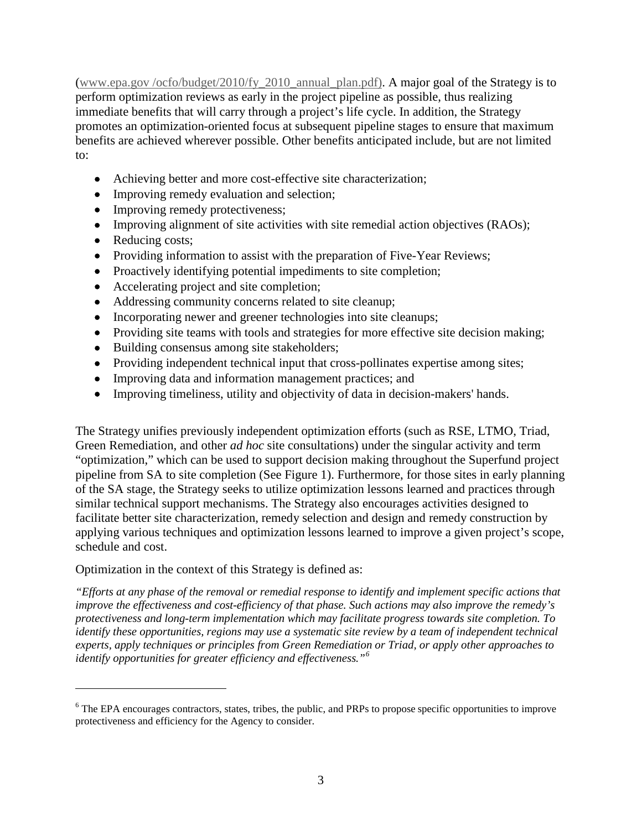[\(www.epa.gov /ocfo/budget/2010/fy\\_2010\\_annual\\_plan.pdf\)](http://www.epa.gov/ocfo/budget/2010/fy_2010_annual_plan.pdf). A major goal of the Strategy is to perform optimization reviews as early in the project pipeline as possible, thus realizing immediate benefits that will carry through a project's life cycle. In addition, the Strategy promotes an optimization-oriented focus at subsequent pipeline stages to ensure that maximum benefits are achieved wherever possible. Other benefits anticipated include, but are not limited to:

- Achieving better and more cost-effective site characterization;
- Improving remedy evaluation and selection;
- Improving remedy protectiveness;
- Improving alignment of site activities with site remedial action objectives (RAOs);
- Reducing costs;

 $\overline{a}$ 

- Providing information to assist with the preparation of Five-Year Reviews;
- Proactively identifying potential impediments to site completion;
- Accelerating project and site completion;
- Addressing community concerns related to site cleanup;
- Incorporating newer and greener technologies into site cleanups;
- Providing site teams with tools and strategies for more effective site decision making;
- Building consensus among site stakeholders;
- Providing independent technical input that cross-pollinates expertise among sites;
- Improving data and information management practices; and
- Improving timeliness, utility and objectivity of data in decision-makers' hands.

The Strategy unifies previously independent optimization efforts (such as RSE, LTMO, Triad, Green Remediation, and other *ad hoc* site consultations) under the singular activity and term "optimization," which can be used to support decision making throughout the Superfund project pipeline from SA to site completion (See Figure 1). Furthermore, for those sites in early planning of the SA stage, the Strategy seeks to utilize optimization lessons learned and practices through similar technical support mechanisms. The Strategy also encourages activities designed to facilitate better site characterization, remedy selection and design and remedy construction by applying various techniques and optimization lessons learned to improve a given project's scope, schedule and cost.

Optimization in the context of this Strategy is defined as:

*"Efforts at any phase of the removal or remedial response to identify and implement specific actions that improve the effectiveness and cost-efficiency of that phase. Such actions may also improve the remedy's protectiveness and long-term implementation which may facilitate progress towards site completion. To identify these opportunities, regions may use a systematic site review by a team of independent technical experts, apply techniques or principles from Green Remediation or Triad, or apply other approaches to identify opportunities for greater efficiency and effectiveness."[6](#page-6-1)*

<span id="page-7-0"></span><sup>&</sup>lt;sup>6</sup> The EPA encourages contractors, states, tribes, the public, and PRPs to propose specific opportunities to improve protectiveness and efficiency for the Agency to consider.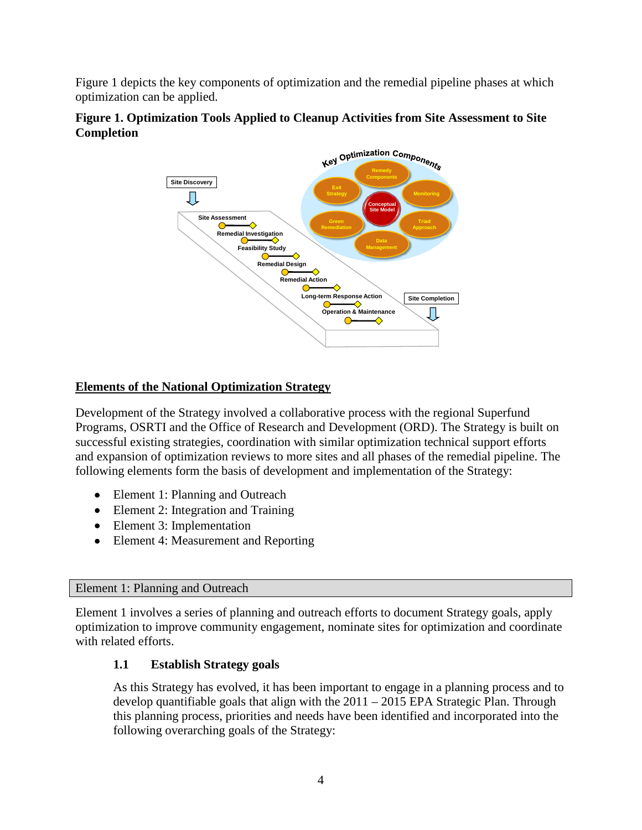Figure 1 depicts the key components of optimization and the remedial pipeline phases at which optimization can be applied.



#### **Figure 1. Optimization Tools Applied to Cleanup Activities from Site Assessment to Site Completion**

# **Elements of the National Optimization Strategy**

Development of the Strategy involved a collaborative process with the regional Superfund Programs, OSRTI and the Office of Research and Development (ORD). The Strategy is built on successful existing strategies, coordination with similar optimization technical support efforts and expansion of optimization reviews to more sites and all phases of the remedial pipeline. The following elements form the basis of development and implementation of the Strategy:

- Element 1: Planning and Outreach
- Element 2: Integration and Training
- Element 3: Implementation
- Element 4: Measurement and Reporting

#### Element 1: Planning and Outreach

Element 1 involves a series of planning and outreach efforts to document Strategy goals, apply optimization to improve community engagement, nominate sites for optimization and coordinate with related efforts.

#### **1.1 Establish Strategy goals**

As this Strategy has evolved, it has been important to engage in a planning process and to develop quantifiable goals that align with the 2011 – 2015 EPA Strategic Plan. Through this planning process, priorities and needs have been identified and incorporated into the following overarching goals of the Strategy: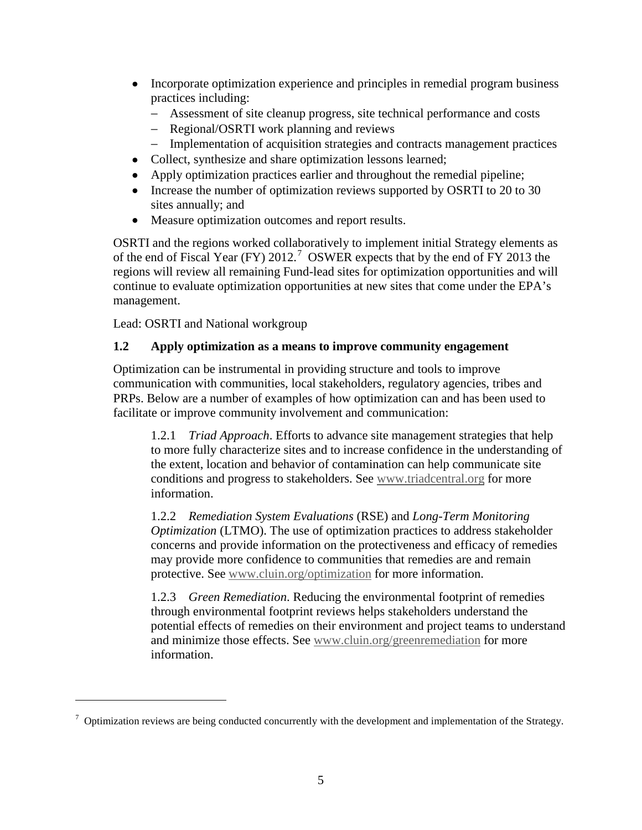- Incorporate optimization experience and principles in remedial program business practices including:
	- − Assessment of site cleanup progress, site technical performance and costs
	- − Regional/OSRTI work planning and reviews
	- − Implementation of acquisition strategies and contracts management practices
- Collect, synthesize and share optimization lessons learned;
- Apply optimization practices earlier and throughout the remedial pipeline;
- Increase the number of optimization reviews supported by OSRTI to 20 to 30 sites annually; and
- Measure optimization outcomes and report results.

OSRTI and the regions worked collaboratively to implement initial Strategy elements as of the end of Fiscal Year (FY) 2012.[7](#page-7-0) OSWER expects that by the end of FY 2013 the regions will review all remaining Fund-lead sites for optimization opportunities and will continue to evaluate optimization opportunities at new sites that come under the EPA's management.

Lead: OSRTI and National workgroup

 $\overline{a}$ 

# **1.2 Apply optimization as a means to improve community engagement**

Optimization can be instrumental in providing structure and tools to improve communication with communities, local stakeholders, regulatory agencies, tribes and PRPs. Below are a number of examples of how optimization can and has been used to facilitate or improve community involvement and communication:

1.2.1 *Triad Approach*. Efforts to advance site management strategies that help to more fully characterize sites and to increase confidence in the understanding of the extent, location and behavior of contamination can help communicate site conditions and progress to stakeholders. See [www.triadcentral.org](http://www.triadcentral.org/) for more information.

1.2.2 *Remediation System Evaluations* (RSE) and *Long-Term Monitoring Optimization* (LTMO). The use of optimization practices to address stakeholder concerns and provide information on the protectiveness and efficacy of remedies may provide more confidence to communities that remedies are and remain protective. See [www.cluin.org/optimization](http://www.cluin.org/optimization) for more information.

1.2.3 *Green Remediation*. Reducing the environmental footprint of remedies through environmental footprint reviews helps stakeholders understand the potential effects of remedies on their environment and project teams to understand and minimize those effects. See [www.cluin.org/greenremediation](http://www.cluin.org/greenremediation) for more information.

<span id="page-9-0"></span> $\sigma$  Optimization reviews are being conducted concurrently with the development and implementation of the Strategy.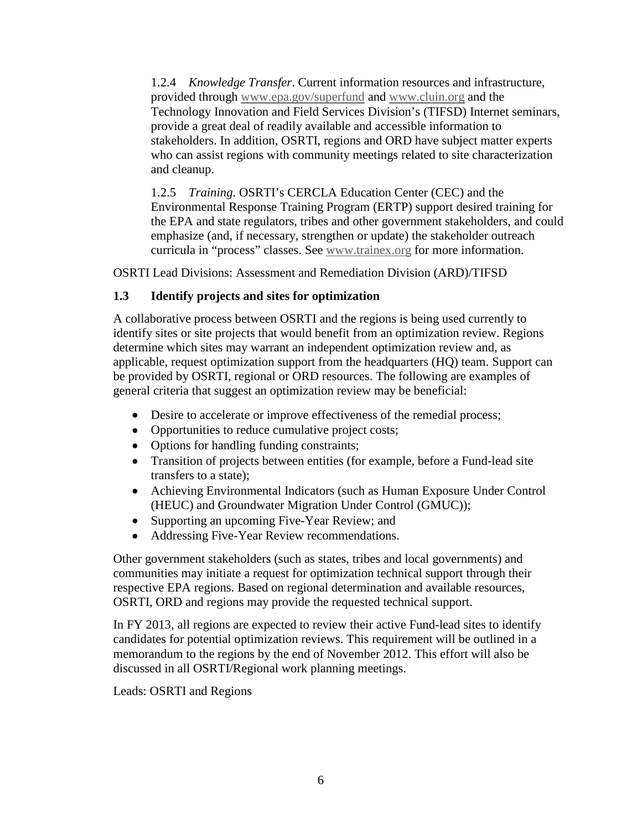1.2.4 *Knowledge Transfer*. Current information resources and infrastructure, provided through [www.epa.gov/superfund](http://www.epa.gov/superfund) and [www.cluin.org](http://www.cluin.org/) and the Technology Innovation and Field Services Division's (TIFSD) Internet seminars, provide a great deal of readily available and accessible information to stakeholders. In addition, OSRTI, regions and ORD have subject matter experts who can assist regions with community meetings related to site characterization and cleanup.

1.2.5 *Training*. OSRTI's CERCLA Education Center (CEC) and the Environmental Response Training Program (ERTP) support desired training for the EPA and state regulators, tribes and other government stakeholders, and could emphasize (and, if necessary, strengthen or update) the stakeholder outreach curricula in "process" classes. See [www.trainex.org](http://www.trainex.org/) for more information.

OSRTI Lead Divisions: Assessment and Remediation Division (ARD)/TIFSD

#### **1.3 Identify projects and sites for optimization**

A collaborative process between OSRTI and the regions is being used currently to identify sites or site projects that would benefit from an optimization review. Regions determine which sites may warrant an independent optimization review and, as applicable, request optimization support from the headquarters (HQ) team. Support can be provided by OSRTI, regional or ORD resources. The following are examples of general criteria that suggest an optimization review may be beneficial:

- Desire to accelerate or improve effectiveness of the remedial process;
- Opportunities to reduce cumulative project costs;
- Options for handling funding constraints;
- Transition of projects between entities (for example, before a Fund-lead site transfers to a state);
- Achieving Environmental Indicators (such as Human Exposure Under Control (HEUC) and Groundwater Migration Under Control (GMUC));
- Supporting an upcoming Five-Year Review; and
- Addressing Five-Year Review recommendations.

Other government stakeholders (such as states, tribes and local governments) and communities may initiate a request for optimization technical support through their respective EPA regions. Based on regional determination and available resources, OSRTI, ORD and regions may provide the requested technical support.

In FY 2013, all regions are expected to review their active Fund-lead sites to identify candidates for potential optimization reviews. This requirement will be outlined in a memorandum to the regions by the end of November 2012. This effort will also be discussed in all OSRTI/Regional work planning meetings.

Leads: OSRTI and Regions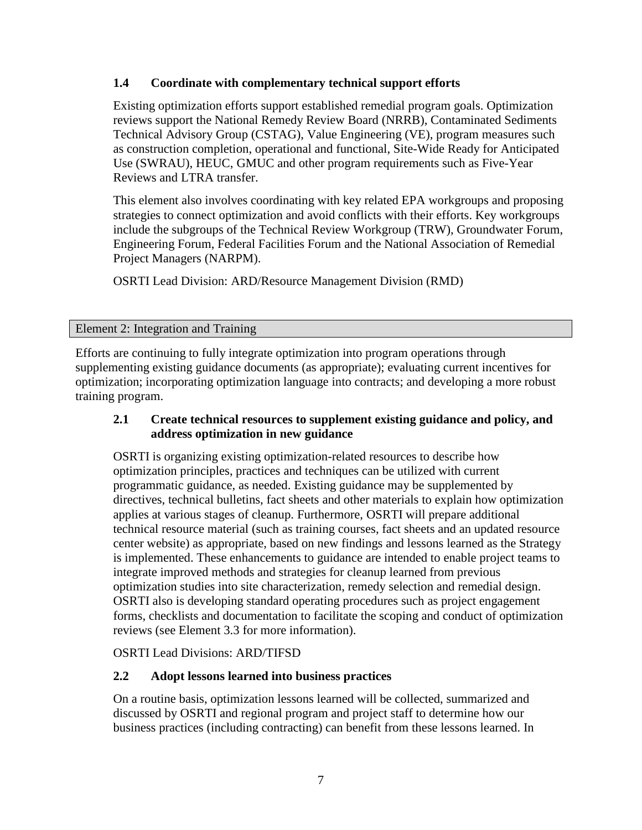#### **1.4 Coordinate with complementary technical support efforts**

Existing optimization efforts support established remedial program goals. Optimization reviews support the National Remedy Review Board (NRRB), Contaminated Sediments Technical Advisory Group (CSTAG), Value Engineering (VE), program measures such as construction completion, operational and functional, Site-Wide Ready for Anticipated Use (SWRAU), HEUC, GMUC and other program requirements such as Five-Year Reviews and LTRA transfer.

This element also involves coordinating with key related EPA workgroups and proposing strategies to connect optimization and avoid conflicts with their efforts. Key workgroups include the subgroups of the Technical Review Workgroup (TRW), Groundwater Forum, Engineering Forum, Federal Facilities Forum and the National Association of Remedial Project Managers (NARPM).

OSRTI Lead Division: ARD/Resource Management Division (RMD)

#### Element 2: Integration and Training

Efforts are continuing to fully integrate optimization into program operations through supplementing existing guidance documents (as appropriate); evaluating current incentives for optimization; incorporating optimization language into contracts; and developing a more robust training program.

#### **2.1 Create technical resources to supplement existing guidance and policy, and address optimization in new guidance**

OSRTI is organizing existing optimization-related resources to describe how optimization principles, practices and techniques can be utilized with current programmatic guidance, as needed. Existing guidance may be supplemented by directives, technical bulletins, fact sheets and other materials to explain how optimization applies at various stages of cleanup. Furthermore, OSRTI will prepare additional technical resource material (such as training courses, fact sheets and an updated resource center website) as appropriate, based on new findings and lessons learned as the Strategy is implemented. These enhancements to guidance are intended to enable project teams to integrate improved methods and strategies for cleanup learned from previous optimization studies into site characterization, remedy selection and remedial design. OSRTI also is developing standard operating procedures such as project engagement forms, checklists and documentation to facilitate the scoping and conduct of optimization reviews (see Element 3.3 for more information).

OSRTI Lead Divisions: ARD/TIFSD

#### **2.2 Adopt lessons learned into business practices**

On a routine basis, optimization lessons learned will be collected, summarized and discussed by OSRTI and regional program and project staff to determine how our business practices (including contracting) can benefit from these lessons learned. In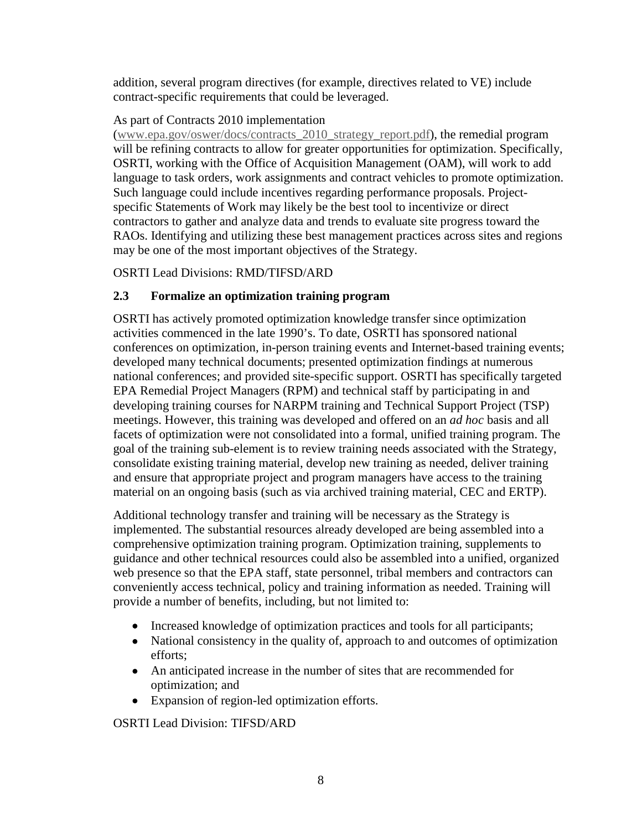addition, several program directives (for example, directives related to VE) include contract-specific requirements that could be leveraged.

#### As part of Contracts 2010 implementation

[\(www.epa.gov/oswer/docs/contracts\\_2010\\_strategy\\_report.pdf\)](http://www.epa.gov/oswer/docs/contracts_2010_strategy_report.pdf), the remedial program will be refining contracts to allow for greater opportunities for optimization. Specifically, OSRTI, working with the Office of Acquisition Management (OAM), will work to add language to task orders, work assignments and contract vehicles to promote optimization. Such language could include incentives regarding performance proposals. Projectspecific Statements of Work may likely be the best tool to incentivize or direct contractors to gather and analyze data and trends to evaluate site progress toward the RAOs. Identifying and utilizing these best management practices across sites and regions may be one of the most important objectives of the Strategy.

OSRTI Lead Divisions: RMD/TIFSD/ARD

#### **2.3 Formalize an optimization training program**

OSRTI has actively promoted optimization knowledge transfer since optimization activities commenced in the late 1990's. To date, OSRTI has sponsored national conferences on optimization, in-person training events and Internet-based training events; developed many technical documents; presented optimization findings at numerous national conferences; and provided site-specific support. OSRTI has specifically targeted EPA Remedial Project Managers (RPM) and technical staff by participating in and developing training courses for NARPM training and Technical Support Project (TSP) meetings. However, this training was developed and offered on an *ad hoc* basis and all facets of optimization were not consolidated into a formal, unified training program. The goal of the training sub-element is to review training needs associated with the Strategy, consolidate existing training material, develop new training as needed, deliver training and ensure that appropriate project and program managers have access to the training material on an ongoing basis (such as via archived training material, CEC and ERTP).

Additional technology transfer and training will be necessary as the Strategy is implemented. The substantial resources already developed are being assembled into a comprehensive optimization training program. Optimization training, supplements to guidance and other technical resources could also be assembled into a unified, organized web presence so that the EPA staff, state personnel, tribal members and contractors can conveniently access technical, policy and training information as needed. Training will provide a number of benefits, including, but not limited to:

- Increased knowledge of optimization practices and tools for all participants;
- National consistency in the quality of, approach to and outcomes of optimization efforts;
- An anticipated increase in the number of sites that are recommended for optimization; and
- Expansion of region-led optimization efforts.

OSRTI Lead Division: TIFSD/ARD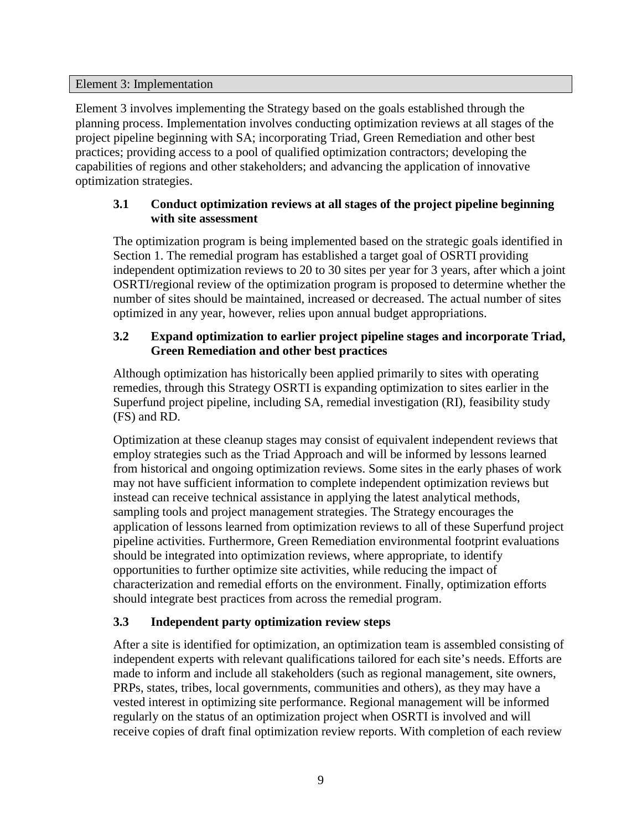#### Element 3: Implementation

Element 3 involves implementing the Strategy based on the goals established through the planning process. Implementation involves conducting optimization reviews at all stages of the project pipeline beginning with SA; incorporating Triad, Green Remediation and other best practices; providing access to a pool of qualified optimization contractors; developing the capabilities of regions and other stakeholders; and advancing the application of innovative optimization strategies.

#### **3.1 Conduct optimization reviews at all stages of the project pipeline beginning with site assessment**

The optimization program is being implemented based on the strategic goals identified in Section 1. The remedial program has established a target goal of OSRTI providing independent optimization reviews to 20 to 30 sites per year for 3 years, after which a joint OSRTI/regional review of the optimization program is proposed to determine whether the number of sites should be maintained, increased or decreased. The actual number of sites optimized in any year, however, relies upon annual budget appropriations.

# **3.2 Expand optimization to earlier project pipeline stages and incorporate Triad, Green Remediation and other best practices**

Although optimization has historically been applied primarily to sites with operating remedies, through this Strategy OSRTI is expanding optimization to sites earlier in the Superfund project pipeline, including SA, remedial investigation (RI), feasibility study (FS) and RD.

Optimization at these cleanup stages may consist of equivalent independent reviews that employ strategies such as the Triad Approach and will be informed by lessons learned from historical and ongoing optimization reviews. Some sites in the early phases of work may not have sufficient information to complete independent optimization reviews but instead can receive technical assistance in applying the latest analytical methods, sampling tools and project management strategies. The Strategy encourages the application of lessons learned from optimization reviews to all of these Superfund project pipeline activities. Furthermore, Green Remediation environmental footprint evaluations should be integrated into optimization reviews, where appropriate, to identify opportunities to further optimize site activities, while reducing the impact of characterization and remedial efforts on the environment. Finally, optimization efforts should integrate best practices from across the remedial program.

# **3.3 Independent party optimization review steps**

After a site is identified for optimization, an optimization team is assembled consisting of independent experts with relevant qualifications tailored for each site's needs. Efforts are made to inform and include all stakeholders (such as regional management, site owners, PRPs, states, tribes, local governments, communities and others), as they may have a vested interest in optimizing site performance. Regional management will be informed regularly on the status of an optimization project when OSRTI is involved and will receive copies of draft final optimization review reports. With completion of each review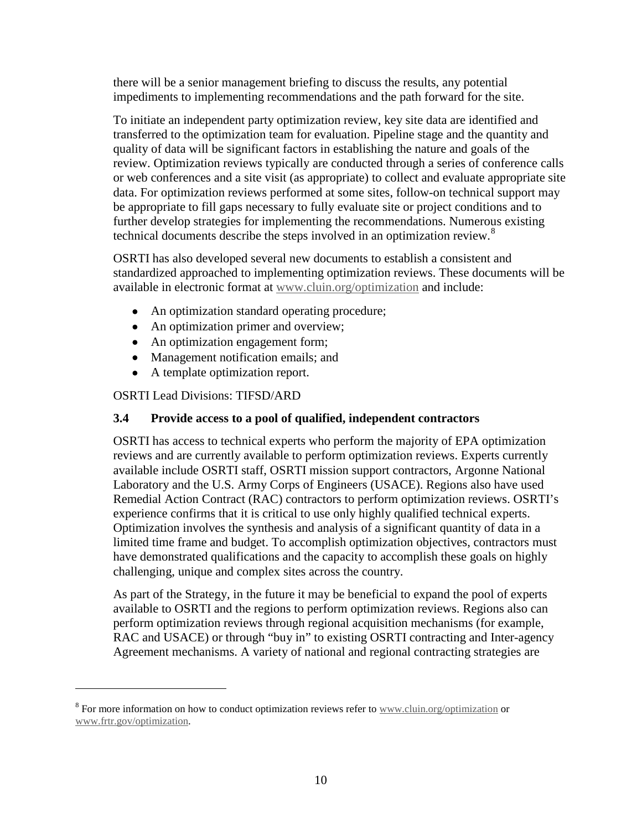there will be a senior management briefing to discuss the results, any potential impediments to implementing recommendations and the path forward for the site.

To initiate an independent party optimization review, key site data are identified and transferred to the optimization team for evaluation. Pipeline stage and the quantity and quality of data will be significant factors in establishing the nature and goals of the review. Optimization reviews typically are conducted through a series of conference calls or web conferences and a site visit (as appropriate) to collect and evaluate appropriate site data. For optimization reviews performed at some sites, follow-on technical support may be appropriate to fill gaps necessary to fully evaluate site or project conditions and to further develop strategies for implementing the recommendations. Numerous existing technical documents describe the steps involved in an optimization review.<sup>[8](#page-9-0)</sup>

OSRTI has also developed several new documents to establish a consistent and standardized approached to implementing optimization reviews. These documents will be available in electronic format at [www.cluin.org/optimization](http://www.cluin.org/optimization) and include:

- An optimization standard operating procedure;
- An optimization primer and overview;
- An optimization engagement form;
- Management notification emails; and
- A template optimization report.

OSRTI Lead Divisions: TIFSD/ARD

 $\overline{a}$ 

#### **3.4 Provide access to a pool of qualified, independent contractors**

OSRTI has access to technical experts who perform the majority of EPA optimization reviews and are currently available to perform optimization reviews. Experts currently available include OSRTI staff, OSRTI mission support contractors, Argonne National Laboratory and the U.S. Army Corps of Engineers (USACE). Regions also have used Remedial Action Contract (RAC) contractors to perform optimization reviews. OSRTI's experience confirms that it is critical to use only highly qualified technical experts. Optimization involves the synthesis and analysis of a significant quantity of data in a limited time frame and budget. To accomplish optimization objectives, contractors must have demonstrated qualifications and the capacity to accomplish these goals on highly challenging, unique and complex sites across the country.

As part of the Strategy, in the future it may be beneficial to expand the pool of experts available to OSRTI and the regions to perform optimization reviews. Regions also can perform optimization reviews through regional acquisition mechanisms (for example, RAC and USACE) or through "buy in" to existing OSRTI contracting and Inter-agency Agreement mechanisms. A variety of national and regional contracting strategies are

<sup>&</sup>lt;sup>8</sup> For more information on how to conduct optimization reviews refer to [www.cluin.org/optimization](http://www.cluin.org/optimization) or [www.frtr.gov/optimization.](http://www.frtr.gov/optimization)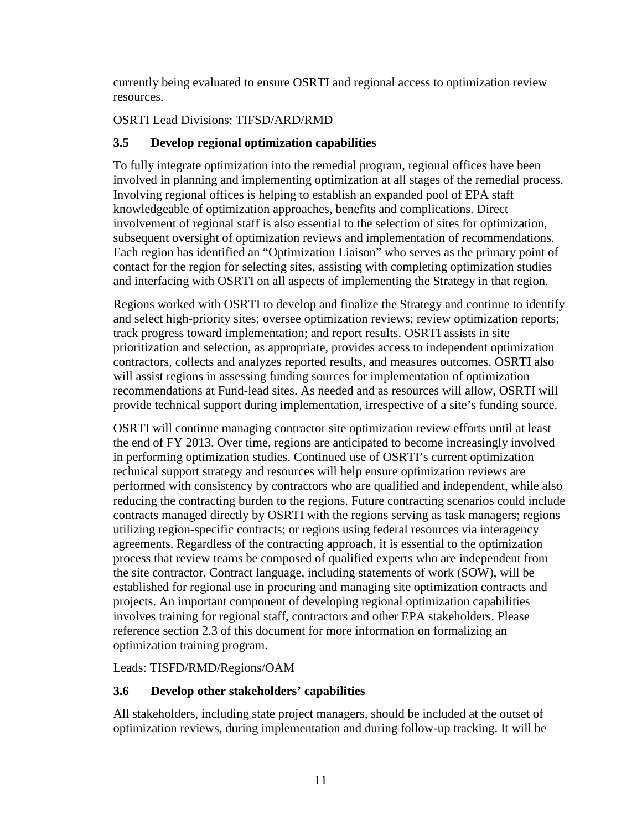currently being evaluated to ensure OSRTI and regional access to optimization review resources.

OSRTI Lead Divisions: TIFSD/ARD/RMD

#### **3.5 Develop regional optimization capabilities**

To fully integrate optimization into the remedial program, regional offices have been involved in planning and implementing optimization at all stages of the remedial process. Involving regional offices is helping to establish an expanded pool of EPA staff knowledgeable of optimization approaches, benefits and complications. Direct involvement of regional staff is also essential to the selection of sites for optimization, subsequent oversight of optimization reviews and implementation of recommendations. Each region has identified an "Optimization Liaison" who serves as the primary point of contact for the region for selecting sites, assisting with completing optimization studies and interfacing with OSRTI on all aspects of implementing the Strategy in that region.

Regions worked with OSRTI to develop and finalize the Strategy and continue to identify and select high-priority sites; oversee optimization reviews; review optimization reports; track progress toward implementation; and report results. OSRTI assists in site prioritization and selection, as appropriate, provides access to independent optimization contractors, collects and analyzes reported results, and measures outcomes. OSRTI also will assist regions in assessing funding sources for implementation of optimization recommendations at Fund-lead sites. As needed and as resources will allow, OSRTI will provide technical support during implementation, irrespective of a site's funding source.

OSRTI will continue managing contractor site optimization review efforts until at least the end of FY 2013. Over time, regions are anticipated to become increasingly involved in performing optimization studies. Continued use of OSRTI's current optimization technical support strategy and resources will help ensure optimization reviews are performed with consistency by contractors who are qualified and independent, while also reducing the contracting burden to the regions. Future contracting scenarios could include contracts managed directly by OSRTI with the regions serving as task managers; regions utilizing region-specific contracts; or regions using federal resources via interagency agreements. Regardless of the contracting approach, it is essential to the optimization process that review teams be composed of qualified experts who are independent from the site contractor. Contract language, including statements of work (SOW), will be established for regional use in procuring and managing site optimization contracts and projects. An important component of developing regional optimization capabilities involves training for regional staff, contractors and other EPA stakeholders. Please reference section 2.3 of this document for more information on formalizing an optimization training program.

Leads: TISFD/RMD/Regions/OAM

#### **3.6 Develop other stakeholders' capabilities**

All stakeholders, including state project managers, should be included at the outset of optimization reviews, during implementation and during follow-up tracking. It will be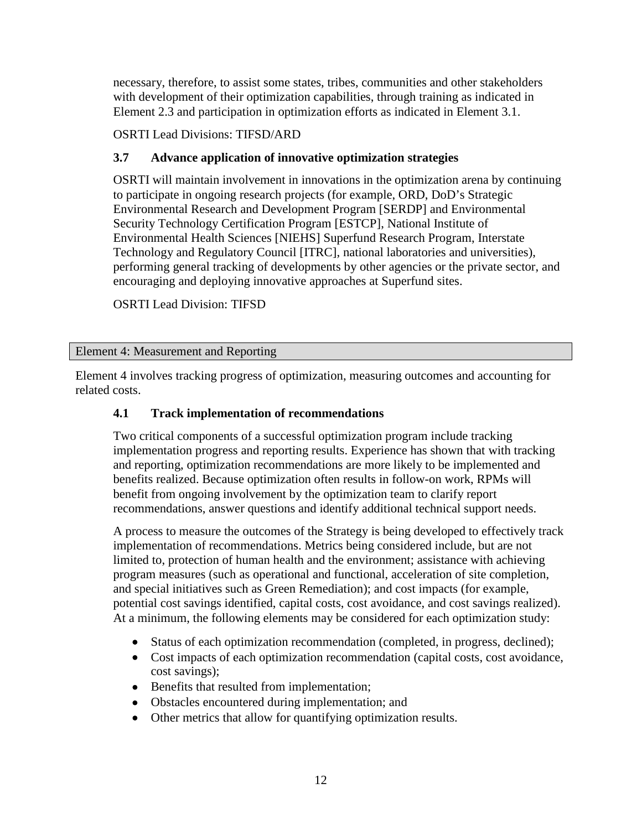necessary, therefore, to assist some states, tribes, communities and other stakeholders with development of their optimization capabilities, through training as indicated in Element 2.3 and participation in optimization efforts as indicated in Element 3.1.

OSRTI Lead Divisions: TIFSD/ARD

# **3.7 Advance application of innovative optimization strategies**

OSRTI will maintain involvement in innovations in the optimization arena by continuing to participate in ongoing research projects (for example, ORD, DoD's Strategic Environmental Research and Development Program [SERDP] and Environmental Security Technology Certification Program [ESTCP], National Institute of Environmental Health Sciences [NIEHS] Superfund Research Program, Interstate Technology and Regulatory Council [ITRC], national laboratories and universities), performing general tracking of developments by other agencies or the private sector, and encouraging and deploying innovative approaches at Superfund sites.

OSRTI Lead Division: TIFSD

Element 4: Measurement and Reporting

Element 4 involves tracking progress of optimization, measuring outcomes and accounting for related costs.

#### **4.1 Track implementation of recommendations**

Two critical components of a successful optimization program include tracking implementation progress and reporting results. Experience has shown that with tracking and reporting, optimization recommendations are more likely to be implemented and benefits realized. Because optimization often results in follow-on work, RPMs will benefit from ongoing involvement by the optimization team to clarify report recommendations, answer questions and identify additional technical support needs.

A process to measure the outcomes of the Strategy is being developed to effectively track implementation of recommendations. Metrics being considered include, but are not limited to, protection of human health and the environment; assistance with achieving program measures (such as operational and functional, acceleration of site completion, and special initiatives such as Green Remediation); and cost impacts (for example, potential cost savings identified, capital costs, cost avoidance, and cost savings realized). At a minimum, the following elements may be considered for each optimization study:

- Status of each optimization recommendation (completed, in progress, declined);
- Cost impacts of each optimization recommendation (capital costs, cost avoidance, cost savings);
- Benefits that resulted from implementation;
- Obstacles encountered during implementation; and
- Other metrics that allow for quantifying optimization results.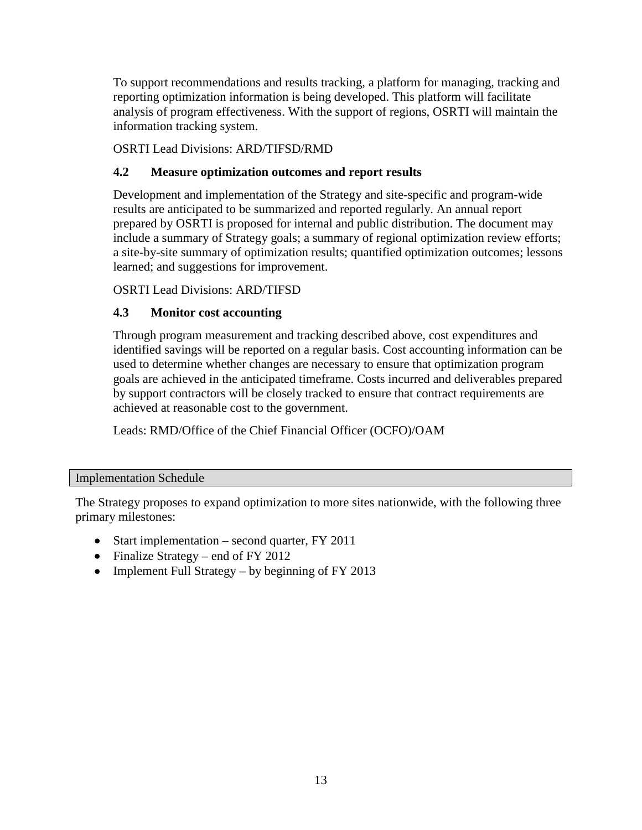To support recommendations and results tracking, a platform for managing, tracking and reporting optimization information is being developed. This platform will facilitate analysis of program effectiveness. With the support of regions, OSRTI will maintain the information tracking system.

OSRTI Lead Divisions: ARD/TIFSD/RMD

# **4.2 Measure optimization outcomes and report results**

Development and implementation of the Strategy and site-specific and program-wide results are anticipated to be summarized and reported regularly. An annual report prepared by OSRTI is proposed for internal and public distribution. The document may include a summary of Strategy goals; a summary of regional optimization review efforts; a site-by-site summary of optimization results; quantified optimization outcomes; lessons learned; and suggestions for improvement.

OSRTI Lead Divisions: ARD/TIFSD

# **4.3 Monitor cost accounting**

Through program measurement and tracking described above, cost expenditures and identified savings will be reported on a regular basis. Cost accounting information can be used to determine whether changes are necessary to ensure that optimization program goals are achieved in the anticipated timeframe. Costs incurred and deliverables prepared by support contractors will be closely tracked to ensure that contract requirements are achieved at reasonable cost to the government.

Leads: RMD/Office of the Chief Financial Officer (OCFO)/OAM

#### Implementation Schedule

The Strategy proposes to expand optimization to more sites nationwide, with the following three primary milestones:

- Start implementation second quarter, FY 2011
- Finalize Strategy end of FY 2012
- Implement Full Strategy by beginning of FY 2013